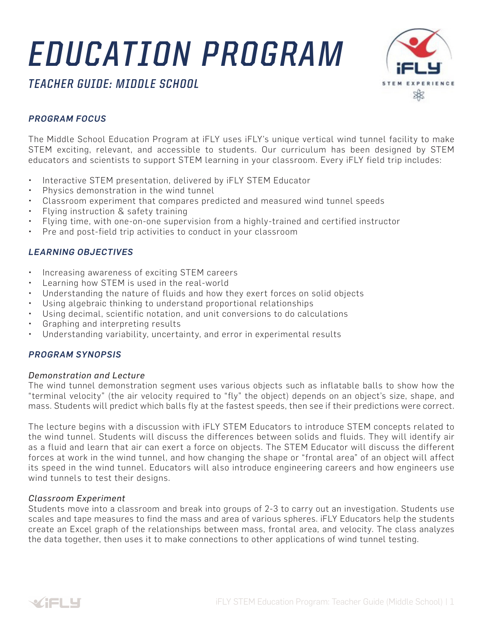# *EDUCATION PROGRAM*



*TEACHER GUIDE: MIDDLE SCHOOL*

# *PROGRAM FOCUS*

The Middle School Education Program at iFLY uses iFLY's unique vertical wind tunnel facility to make STEM exciting, relevant, and accessible to students. Our curriculum has been designed by STEM educators and scientists to support STEM learning in your classroom. Every iFLY field trip includes:

- Interactive STEM presentation, delivered by iFLY STEM Educator
- Physics demonstration in the wind tunnel
- Classroom experiment that compares predicted and measured wind tunnel speeds
- Flying instruction & safety training
- Flying time, with one-on-one supervision from a highly-trained and certified instructor
- Pre and post-field trip activities to conduct in your classroom

## *LEARNING OBJECTIVES*

- Increasing awareness of exciting STEM careers
- Learning how STEM is used in the real-world
- Understanding the nature of fluids and how they exert forces on solid objects
- Using algebraic thinking to understand proportional relationships
- Using decimal, scientific notation, and unit conversions to do calculations
- Graphing and interpreting results
- Understanding variability, uncertainty, and error in experimental results

### *PROGRAM SYNOPSIS*

#### *Demonstration and Lecture*

The wind tunnel demonstration segment uses various objects such as inflatable balls to show how the "terminal velocity" (the air velocity required to "fly" the object) depends on an object's size, shape, and mass. Students will predict which balls fly at the fastest speeds, then see if their predictions were correct.

The lecture begins with a discussion with iFLY STEM Educators to introduce STEM concepts related to the wind tunnel. Students will discuss the differences between solids and fluids. They will identify air as a fluid and learn that air can exert a force on objects. The STEM Educator will discuss the different forces at work in the wind tunnel, and how changing the shape or "frontal area" of an object will affect its speed in the wind tunnel. Educators will also introduce engineering careers and how engineers use wind tunnels to test their designs.

#### *Classroom Experiment*

Students move into a classroom and break into groups of 2-3 to carry out an investigation. Students use scales and tape measures to find the mass and area of various spheres. iFLY Educators help the students create an Excel graph of the relationships between mass, frontal area, and velocity. The class analyzes the data together, then uses it to make connections to other applications of wind tunnel testing.